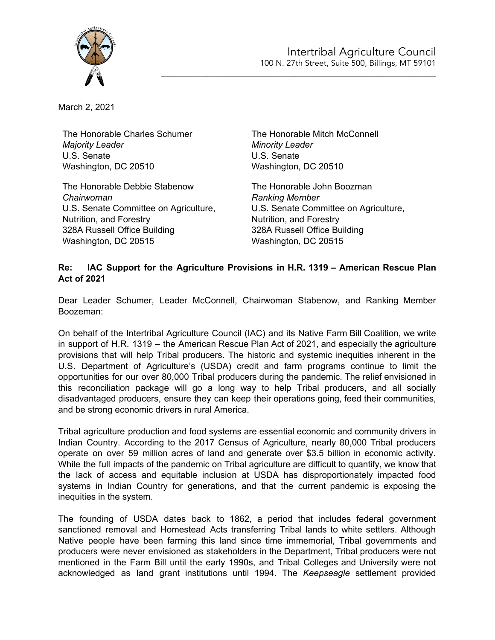

March 2, 2021

The Honorable Charles Schumer *Majority Leader* U.S. Senate Washington, DC 20510

The Honorable Debbie Stabenow *Chairwoman* U.S. Senate Committee on Agriculture, Nutrition, and Forestry 328A Russell Office Building Washington, DC 20515

The Honorable Mitch McConnell *Minority Leader* U.S. Senate Washington, DC 20510

\_\_\_\_\_\_\_\_\_\_\_\_\_\_\_\_\_\_\_\_\_\_\_\_\_\_\_\_\_\_\_\_\_\_\_\_\_\_\_\_\_\_\_\_\_\_\_\_\_\_\_\_\_\_\_\_\_\_\_\_\_\_\_\_\_\_\_\_

The Honorable John Boozman *Ranking Member* U.S. Senate Committee on Agriculture, Nutrition, and Forestry 328A Russell Office Building Washington, DC 20515

## **Re: IAC Support for the Agriculture Provisions in H.R. 1319 – American Rescue Plan Act of 2021**

Dear Leader Schumer, Leader McConnell, Chairwoman Stabenow, and Ranking Member Boozeman:

On behalf of the Intertribal Agriculture Council (IAC) and its Native Farm Bill Coalition, we write in support of H.R. 1319 – the American Rescue Plan Act of 2021, and especially the agriculture provisions that will help Tribal producers. The historic and systemic inequities inherent in the U.S. Department of Agriculture's (USDA) credit and farm programs continue to limit the opportunities for our over 80,000 Tribal producers during the pandemic. The relief envisioned in this reconciliation package will go a long way to help Tribal producers, and all socially disadvantaged producers, ensure they can keep their operations going, feed their communities, and be strong economic drivers in rural America.

Tribal agriculture production and food systems are essential economic and community drivers in Indian Country. According to the 2017 Census of Agriculture, nearly 80,000 Tribal producers operate on over 59 million acres of land and generate over \$3.5 billion in economic activity. While the full impacts of the pandemic on Tribal agriculture are difficult to quantify, we know that the lack of access and equitable inclusion at USDA has disproportionately impacted food systems in Indian Country for generations, and that the current pandemic is exposing the inequities in the system.

The founding of USDA dates back to 1862, a period that includes federal government sanctioned removal and Homestead Acts transferring Tribal lands to white settlers. Although Native people have been farming this land since time immemorial, Tribal governments and producers were never envisioned as stakeholders in the Department, Tribal producers were not mentioned in the Farm Bill until the early 1990s, and Tribal Colleges and University were not acknowledged as land grant institutions until 1994. The *Keepseagle* settlement provided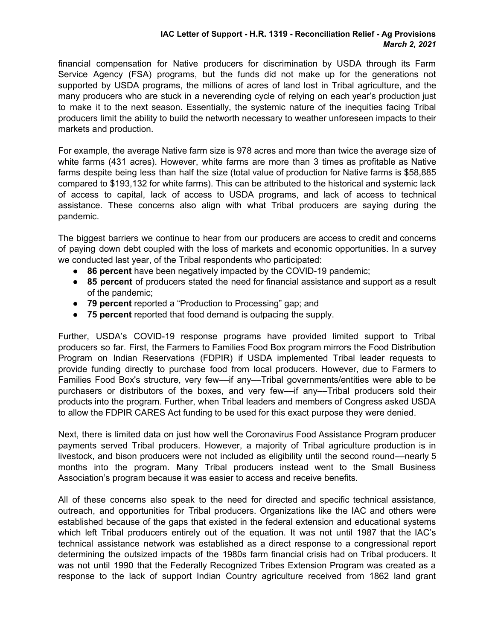## **IAC Letter of Support - H.R. 1319 - Reconciliation Relief - Ag Provisions** *March 2, 2021*

financial compensation for Native producers for discrimination by USDA through its Farm Service Agency (FSA) programs, but the funds did not make up for the generations not supported by USDA programs, the millions of acres of land lost in Tribal agriculture, and the many producers who are stuck in a neverending cycle of relying on each year's production just to make it to the next season. Essentially, the systemic nature of the inequities facing Tribal producers limit the ability to build the networth necessary to weather unforeseen impacts to their markets and production.

For example, the average Native farm size is 978 acres and more than twice the average size of white farms (431 acres). However, white farms are more than 3 times as profitable as Native farms despite being less than half the size (total value of production for Native farms is \$58,885 compared to \$193,132 for white farms). This can be attributed to the historical and systemic lack of access to capital, lack of access to USDA programs, and lack of access to technical assistance. These concerns also align with what Tribal producers are saying during the pandemic.

The biggest barriers we continue to hear from our producers are access to credit and concerns of paying down debt coupled with the loss of markets and economic opportunities. In a survey we conducted last year, of the Tribal respondents who participated:

- **86 percent** have been negatively impacted by the COVID-19 pandemic;
- **85 percent** of producers stated the need for financial assistance and support as a result of the pandemic;
- **79 percent** reported a "Production to Processing" gap; and
- **75 percent** reported that food demand is outpacing the supply.

Further, USDA's COVID-19 response programs have provided limited support to Tribal producers so far. First, the Farmers to Families Food Box program mirrors the Food Distribution Program on Indian Reservations (FDPIR) if USDA implemented Tribal leader requests to provide funding directly to purchase food from local producers. However, due to Farmers to Families Food Box's structure, very few—if any—Tribal governments/entities were able to be purchasers or distributors of the boxes, and very few--if any--Tribal producers sold their products into the program. Further, when Tribal leaders and members of Congress asked USDA to allow the FDPIR CARES Act funding to be used for this exact purpose they were denied.

Next, there is limited data on just how well the Coronavirus Food Assistance Program producer payments served Tribal producers. However, a majority of Tribal agriculture production is in livestock, and bison producers were not included as eligibility until the second round––nearly 5 months into the program. Many Tribal producers instead went to the Small Business Association's program because it was easier to access and receive benefits.

All of these concerns also speak to the need for directed and specific technical assistance, outreach, and opportunities for Tribal producers. Organizations like the IAC and others were established because of the gaps that existed in the federal extension and educational systems which left Tribal producers entirely out of the equation. It was not until 1987 that the IAC's technical assistance network was established as a direct response to a congressional report determining the outsized impacts of the 1980s farm financial crisis had on Tribal producers. It was not until 1990 that the Federally Recognized Tribes Extension Program was created as a response to the lack of support Indian Country agriculture received from 1862 land grant